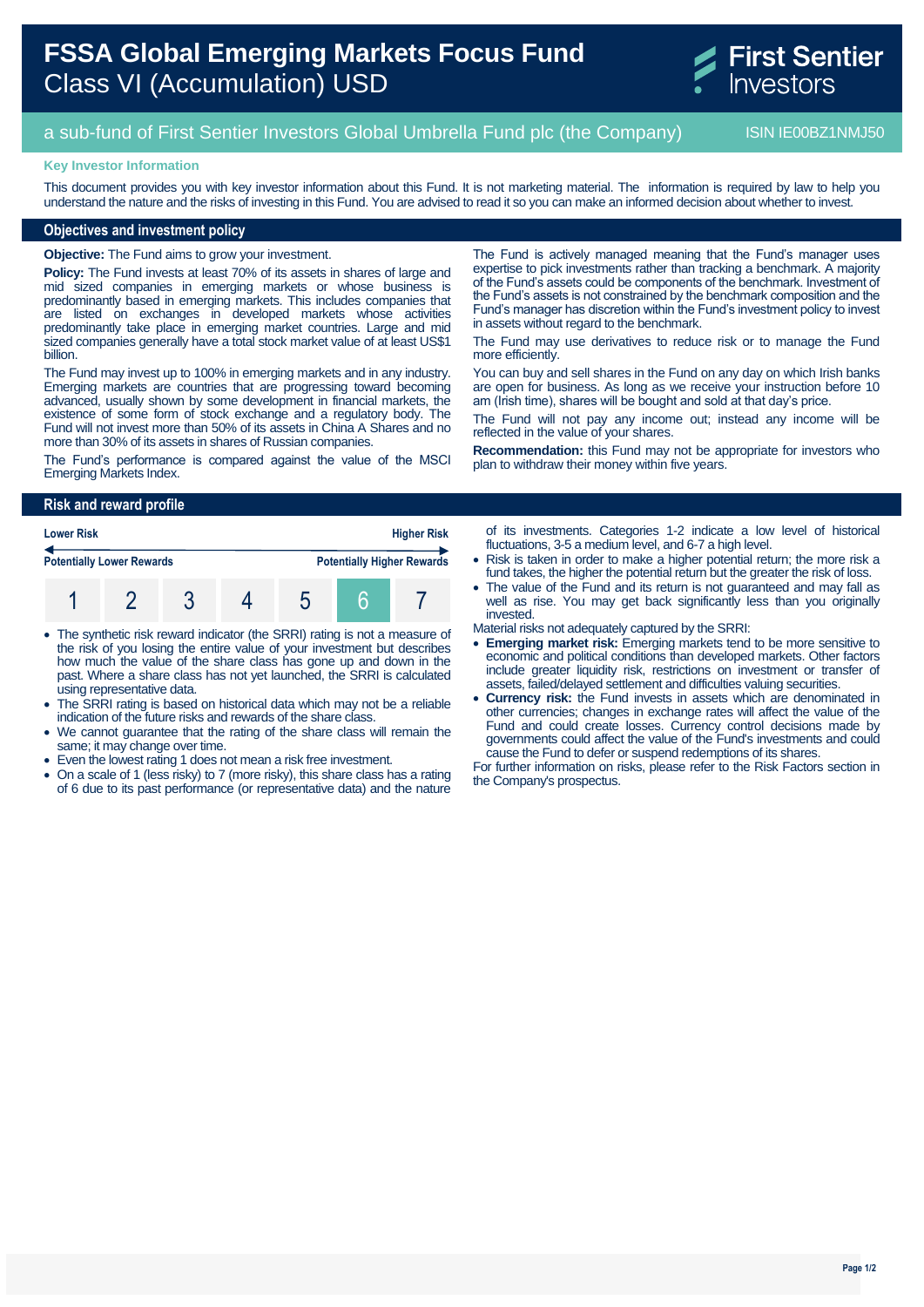# **FSSA Global Emerging Markets Focus Fund** Class VI (Accumulation) USD



# a sub-fund of First Sentier Investors Global Umbrella Fund plc (the Company) ISIN IE00BZ1NMJ50

### **Key Investor Information**

This document provides you with key investor information about this Fund. It is not marketing material. The information is required by law to help you understand the nature and the risks of investing in this Fund. You are advised to read it so you can make an informed decision about whether to invest.

# **Objectives and investment policy**

**Objective:** The Fund aims to grow your investment.

**Policy:** The Fund invests at least 70% of its assets in shares of large and mid sized companies in emerging markets or whose business is predominantly based in emerging markets. This includes companies that are listed on exchanges in developed markets whose activities predominantly take place in emerging market countries. Large and mid sized companies generally have a total stock market value of at least US\$1 billion.

The Fund may invest up to 100% in emerging markets and in any industry. Emerging markets are countries that are progressing toward becoming advanced, usually shown by some development in financial markets, the existence of some form of stock exchange and a regulatory body. The Fund will not invest more than 50% of its assets in China A Shares and no more than 30% of its assets in shares of Russian companies.

The Fund's performance is compared against the value of the MSCI Emerging Markets Index.

The Fund is actively managed meaning that the Fund's manager uses expertise to pick investments rather than tracking a benchmark. A majority of the Fund's assets could be components of the benchmark. Investment of the Fund's assets is not constrained by the benchmark composition and the Fund's manager has discretion within the Fund's investment policy to invest in assets without regard to the benchmark.

The Fund may use derivatives to reduce risk or to manage the Fund more efficiently.

You can buy and sell shares in the Fund on any day on which Irish banks are open for business. As long as we receive your instruction before 10 am (Irish time), shares will be bought and sold at that day's price.

The Fund will not pay any income out; instead any income will be reflected in the value of your shares.

**Recommendation:** this Fund may not be appropriate for investors who plan to withdraw their money within five years.

#### **Risk and reward profile**

| <b>Lower Risk</b>                |  |  |  |  | <b>Higher Risk</b> |                                   |  |
|----------------------------------|--|--|--|--|--------------------|-----------------------------------|--|
| <b>Potentially Lower Rewards</b> |  |  |  |  |                    | <b>Potentially Higher Rewards</b> |  |
|                                  |  |  |  |  |                    |                                   |  |

- The synthetic risk reward indicator (the SRRI) rating is not a measure of the risk of you losing the entire value of your investment but describes how much the value of the share class has gone up and down in the past. Where a share class has not yet launched, the SRRI is calculated using representative data.
- The SRRI rating is based on historical data which may not be a reliable indication of the future risks and rewards of the share class.
- We cannot guarantee that the rating of the share class will remain the same; it may change over time.
- Even the lowest rating 1 does not mean a risk free investment.
- On a scale of 1 (less risky) to 7 (more risky), this share class has a rating of 6 due to its past performance (or representative data) and the nature

of its investments. Categories 1-2 indicate a low level of historical fluctuations, 3-5 a medium level, and 6-7 a high level.

- Risk is taken in order to make a higher potential return; the more risk a fund takes, the higher the potential return but the greater the risk of loss.
- The value of the Fund and its return is not guaranteed and may fall as well as rise. You may get back significantly less than you originally invested.

Material risks not adequately captured by the SRRI:

- **Emerging market risk:** Emerging markets tend to be more sensitive to economic and political conditions than developed markets. Other factors include greater liquidity risk, restrictions on investment or transfer of assets, failed/delayed settlement and difficulties valuing securities.
- **Currency risk:** the Fund invests in assets which are denominated in other currencies; changes in exchange rates will affect the value of the Fund and could create losses. Currency control decisions made by governments could affect the value of the Fund's investments and could cause the Fund to defer or suspend redemptions of its shares.

For further information on risks, please refer to the Risk Factors section in the Company's prospectus.